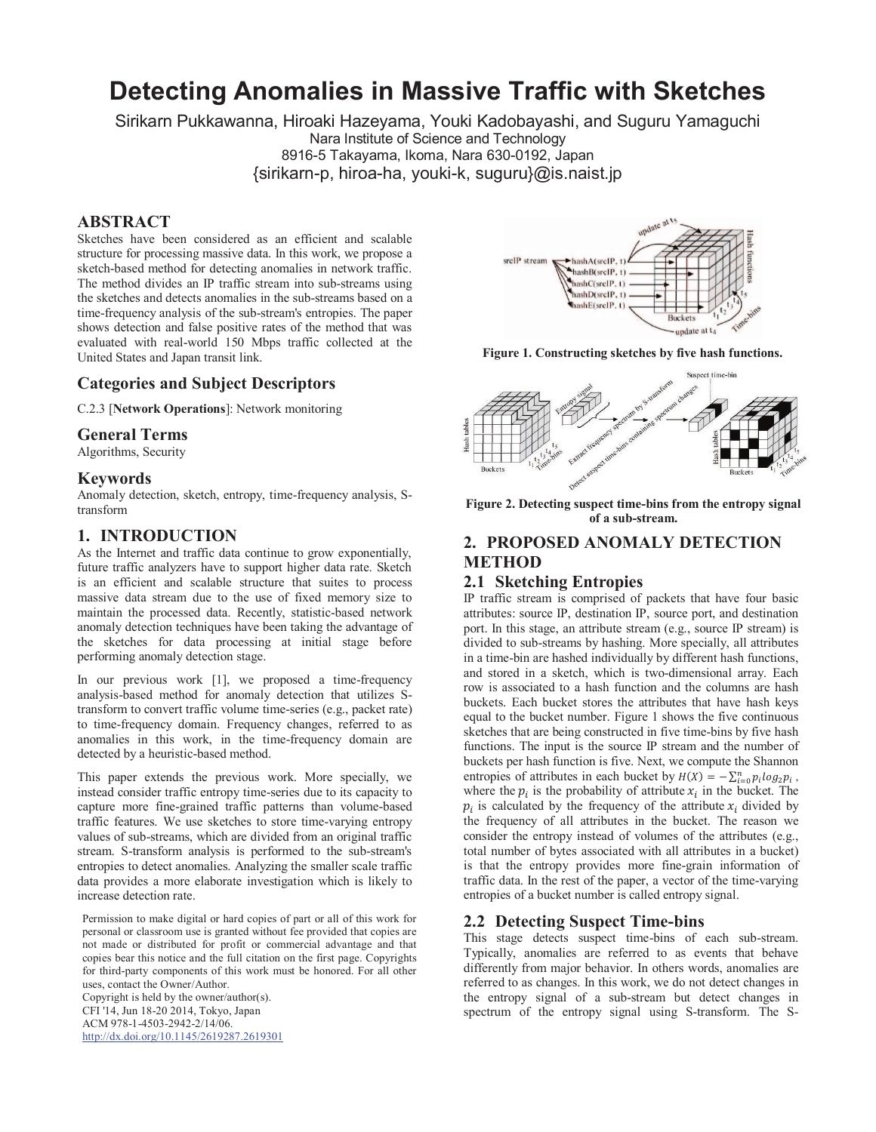# **Detecting Anomalies in Massive Traffic with Sketches**

Sirikarn Pukkawanna, Hiroaki Hazeyama, Youki Kadobayashi, and Suguru Yamaguchi

Nara Institute of Science and Technology

8916-5 Takayama, Ikoma, Nara 630-0192, Japan {sirikarn-p, hiroa-ha, youki-k, suguru}@is.naist.jp

## **ABSTRACT**

Sketches have been considered as an efficient and scalable structure for processing massive data. In this work, we propose a sketch-based method for detecting anomalies in network traffic. The method divides an IP traffic stream into sub-streams using the sketches and detects anomalies in the sub-streams based on a time-frequency analysis of the sub-stream's entropies. The paper shows detection and false positive rates of the method that was evaluated with real-world 150 Mbps traffic collected at the United States and Japan transit link.

## **Categories and Subject Descriptors**

C.2.3 [**Network Operations**]: Network monitoring

## **General Terms**

Algorithms, Security

## **Keywords**

Anomaly detection, sketch, entropy, time-frequency analysis, Stransform

## **1. INTRODUCTION**

As the Internet and traffic data continue to grow exponentially, future traffic analyzers have to support higher data rate. Sketch is an efficient and scalable structure that suites to process massive data stream due to the use of fixed memory size to maintain the processed data. Recently, statistic-based network anomaly detection techniques have been taking the advantage of the sketches for data processing at initial stage before performing anomaly detection stage.

In our previous work [1], we proposed a time-frequency analysis-based method for anomaly detection that utilizes Stransform to convert traffic volume time-series (e.g., packet rate) to time-frequency domain. Frequency changes, referred to as anomalies in this work, in the time-frequency domain are detected by a heuristic-based method.

This paper extends the previous work. More specially, we instead consider traffic entropy time-series due to its capacity to capture more fine-grained traffic patterns than volume-based traffic features. We use sketches to store time-varying entropy values of sub-streams, which are divided from an original traffic stream. S-transform analysis is performed to the sub-stream's entropies to detect anomalies. Analyzing the smaller scale traffic data provides a more elaborate investigation which is likely to increase detection rate.

Permission to make digital or hard copies of part or all of this work for personal or classroom use is granted without fee provided that copies are not made or distributed for profit or commercial advantage and that copies bear this notice and the full citation on the first page. Copyrights for third-party components of this work must be honored. For all other uses, contact the Owner/Author.

Copyright is held by the owner/author(s). CFI '14, Jun 18-20 2014, Tokyo, Japan ACM 978-1-4503-2942-2/14/06. http://dx.doi.org/10.1145/2619287.2619301



**Figure 1. Constructing sketches by five hash functions.** 



**Figure 2. Detecting suspect time-bins from the entropy signal of a sub-stream.** 

# **2. PROPOSED ANOMALY DETECTION METHOD**

## **2.1 Sketching Entropies**

IP traffic stream is comprised of packets that have four basic attributes: source IP, destination IP, source port, and destination port. In this stage, an attribute stream (e.g., source IP stream) is divided to sub-streams by hashing. More specially, all attributes in a time-bin are hashed individually by different hash functions, and stored in a sketch, which is two-dimensional array. Each row is associated to a hash function and the columns are hash buckets. Each bucket stores the attributes that have hash keys equal to the bucket number. Figure 1 shows the five continuous sketches that are being constructed in five time-bins by five hash functions. The input is the source IP stream and the number of buckets per hash function is five. Next, we compute the Shannon entropies of attributes in each bucket by  $H(X) = -\sum_{i=0}^{n} p_i \log_2 p_i$ , where the  $p_i$  is the probability of attribute  $x_i$  in the bucket. The  $p_i$  is calculated by the frequency of the attribute  $x_i$  divided by the frequency of all attributes in the bucket. The reason we consider the entropy instead of volumes of the attributes (e.g., total number of bytes associated with all attributes in a bucket) is that the entropy provides more fine-grain information of traffic data. In the rest of the paper, a vector of the time-varying entropies of a bucket number is called entropy signal.

## **2.2 Detecting Suspect Time-bins**

This stage detects suspect time-bins of each sub-stream. Typically, anomalies are referred to as events that behave differently from major behavior. In others words, anomalies are referred to as changes. In this work, we do not detect changes in the entropy signal of a sub-stream but detect changes in spectrum of the entropy signal using S-transform. The S-